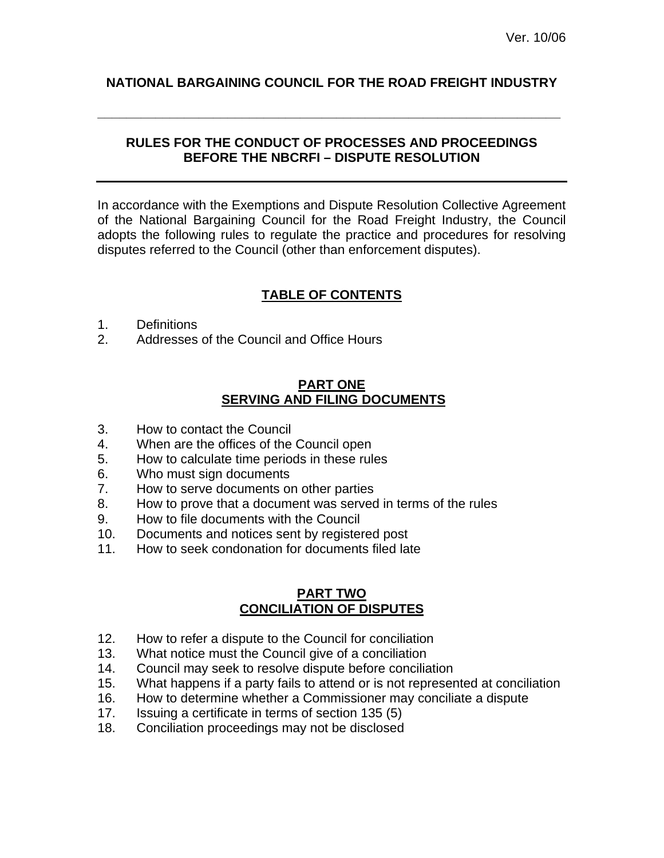# **NATIONAL BARGAINING COUNCIL FOR THE ROAD FREIGHT INDUSTRY**

**\_\_\_\_\_\_\_\_\_\_\_\_\_\_\_\_\_\_\_\_\_\_\_\_\_\_\_\_\_\_\_\_\_\_\_\_\_\_\_\_\_\_\_\_\_\_\_\_\_\_\_\_\_\_\_\_\_\_\_\_\_\_\_\_** 

## **RULES FOR THE CONDUCT OF PROCESSES AND PROCEEDINGS BEFORE THE NBCRFI – DISPUTE RESOLUTION**

In accordance with the Exemptions and Dispute Resolution Collective Agreement of the National Bargaining Council for the Road Freight Industry, the Council adopts the following rules to regulate the practice and procedures for resolving disputes referred to the Council (other than enforcement disputes).

# **TABLE OF CONTENTS**

- 1. Definitions
- 2. Addresses of the Council and Office Hours

## **PART ONE SERVING AND FILING DOCUMENTS**

- 3. How to contact the Council
- 4. When are the offices of the Council open
- 5. How to calculate time periods in these rules
- 6. Who must sign documents
- 7. How to serve documents on other parties
- 8. How to prove that a document was served in terms of the rules
- 9. How to file documents with the Council
- 10. Documents and notices sent by registered post
- 11. How to seek condonation for documents filed late

## **PART TWO CONCILIATION OF DISPUTES**

- 12. How to refer a dispute to the Council for conciliation
- 13. What notice must the Council give of a conciliation
- 14. Council may seek to resolve dispute before conciliation
- 15. What happens if a party fails to attend or is not represented at conciliation
- 16. How to determine whether a Commissioner may conciliate a dispute
- 17. Issuing a certificate in terms of section 135 (5)
- 18. Conciliation proceedings may not be disclosed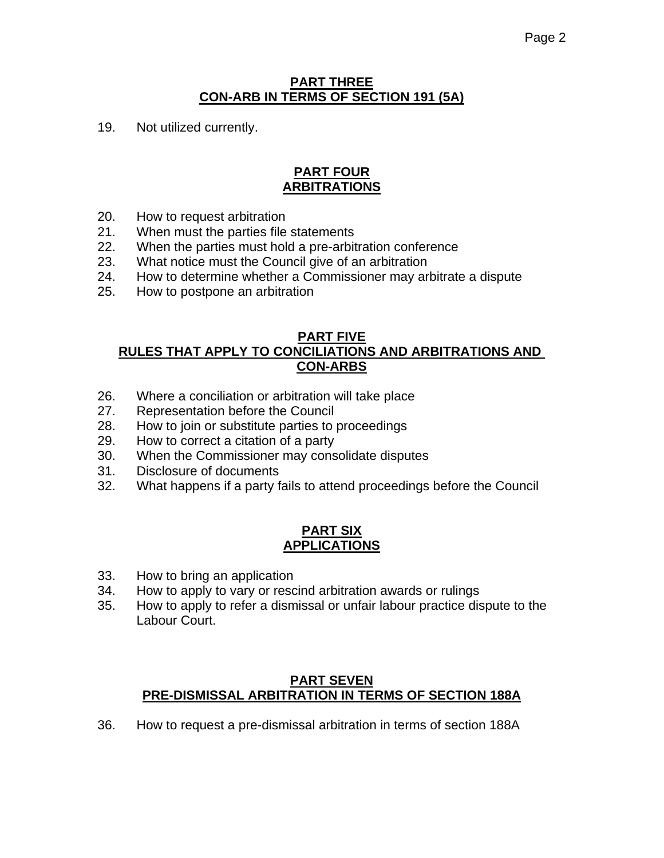## **PART THREE CON-ARB IN TERMS OF SECTION 191 (5A)**

19. Not utilized currently.

# **PART FOUR ARBITRATIONS**

- 20. How to request arbitration
- 21. When must the parties file statements
- 22. When the parties must hold a pre-arbitration conference
- 23. What notice must the Council give of an arbitration
- 24. How to determine whether a Commissioner may arbitrate a dispute
- 25. How to postpone an arbitration

## **PART FIVE RULES THAT APPLY TO CONCILIATIONS AND ARBITRATIONS AND CON-ARBS**

- 26. Where a conciliation or arbitration will take place
- 27. Representation before the Council
- 28. How to join or substitute parties to proceedings
- 29. How to correct a citation of a party
- 30. When the Commissioner may consolidate disputes
- 31. Disclosure of documents
- 32. What happens if a party fails to attend proceedings before the Council

## **PART SIX APPLICATIONS**

- 33. How to bring an application
- 34. How to apply to vary or rescind arbitration awards or rulings
- 35. How to apply to refer a dismissal or unfair labour practice dispute to the Labour Court.

### **PART SEVEN PRE-DISMISSAL ARBITRATION IN TERMS OF SECTION 188A**

36. How to request a pre-dismissal arbitration in terms of section 188A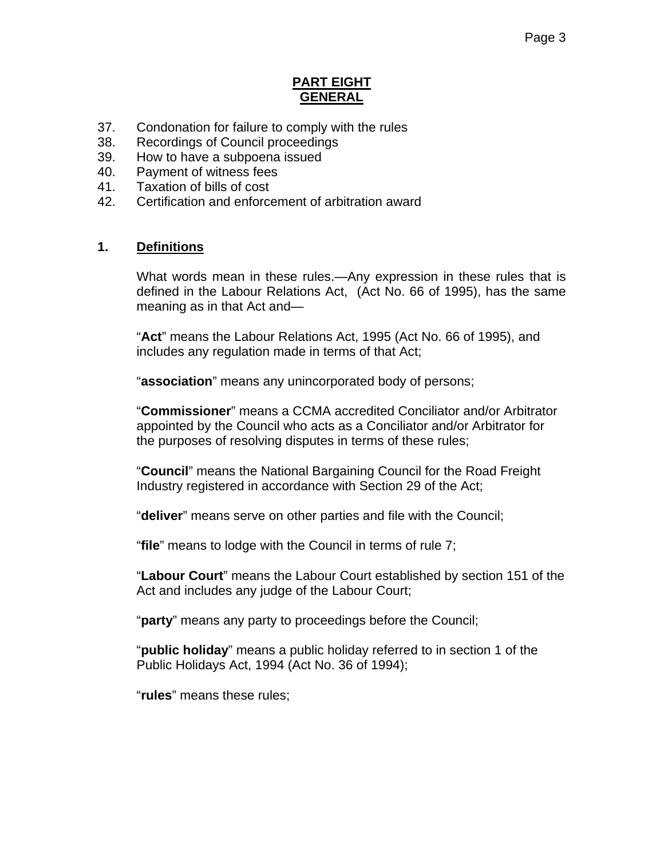## **PART EIGHT GENERAL**

- 37. Condonation for failure to comply with the rules
- 38. Recordings of Council proceedings
- 39. How to have a subpoena issued
- 40. Payment of witness fees
- 41. Taxation of bills of cost
- 42. Certification and enforcement of arbitration award

# **1. Definitions**

What words mean in these rules.—Any expression in these rules that is defined in the Labour Relations Act, (Act No. 66 of 1995), has the same meaning as in that Act and—

"**Act**" means the Labour Relations Act, 1995 (Act No. 66 of 1995), and includes any regulation made in terms of that Act;

"**association**" means any unincorporated body of persons;

"**Commissioner**" means a CCMA accredited Conciliator and/or Arbitrator appointed by the Council who acts as a Conciliator and/or Arbitrator for the purposes of resolving disputes in terms of these rules;

"**Council**" means the National Bargaining Council for the Road Freight Industry registered in accordance with Section 29 of the Act;

"**deliver**" means serve on other parties and file with the Council;

"**file**" means to lodge with the Council in terms of rule 7;

"**Labour Court**" means the Labour Court established by section 151 of the Act and includes any judge of the Labour Court;

"**party**" means any party to proceedings before the Council;

"**public holiday**" means a public holiday referred to in section 1 of the Public Holidays Act, 1994 (Act No. 36 of 1994);

"**rules**" means these rules;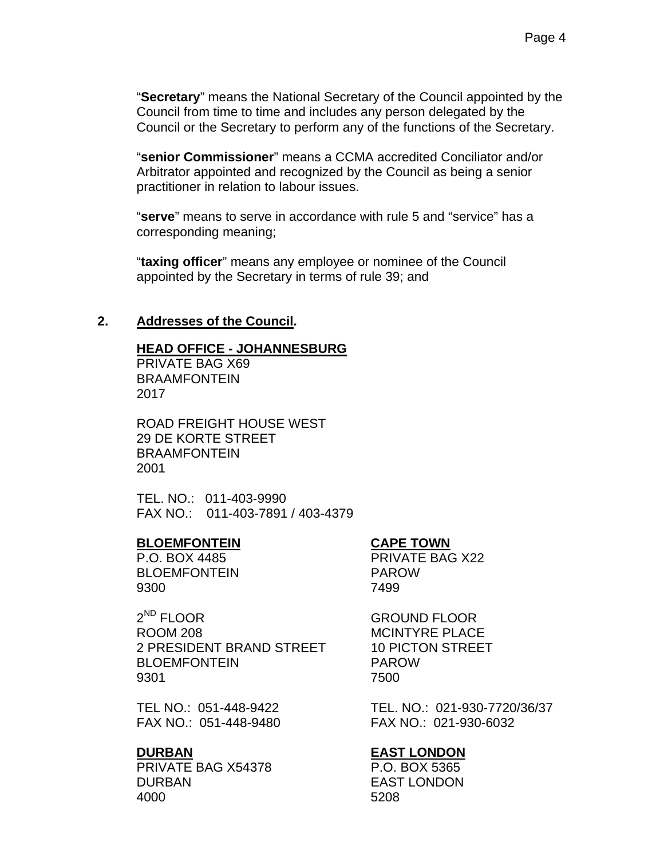"**Secretary**" means the National Secretary of the Council appointed by the Council from time to time and includes any person delegated by the Council or the Secretary to perform any of the functions of the Secretary.

"**senior Commissioner**" means a CCMA accredited Conciliator and/or Arbitrator appointed and recognized by the Council as being a senior practitioner in relation to labour issues.

"**serve**" means to serve in accordance with rule 5 and "service" has a corresponding meaning;

"**taxing officer**" means any employee or nominee of the Council appointed by the Secretary in terms of rule 39; and

## **2. Addresses of the Council.**

#### **HEAD OFFICE - JOHANNESBURG**

PRIVATE BAG X69 BRAAMFONTEIN 2017

ROAD FREIGHT HOUSE WEST 29 DE KORTE STREET BRAAMFONTEIN 2001

TEL. NO.: 011-403-9990 FAX NO.: 011-403-7891 / 403-4379

### **BLOEMFONTEIN CAPE TOWN**

BLOEMFONTEIN PAROW 9300 7499

2<sup>ND</sup> FLOOR GROUND FLOOR ROOM 208 MCINTYRE PLACE 2 PRESIDENT BRAND STREET 10 PICTON STREET BLOEMFONTEIN PAROW 9301 7500

FAX NO.: 051-448-9480 FAX NO.: 021-930-6032

PRIVATE BAG X54378 P.O. BOX 5365 DURBAN EAST LONDON 4000 5208

P.O. BOX 4485 PRIVATE BAG X22

TEL NO.: 051-448-9422 TEL. NO.: 021-930-7720/36/37

#### **DURBAN EAST LONDON**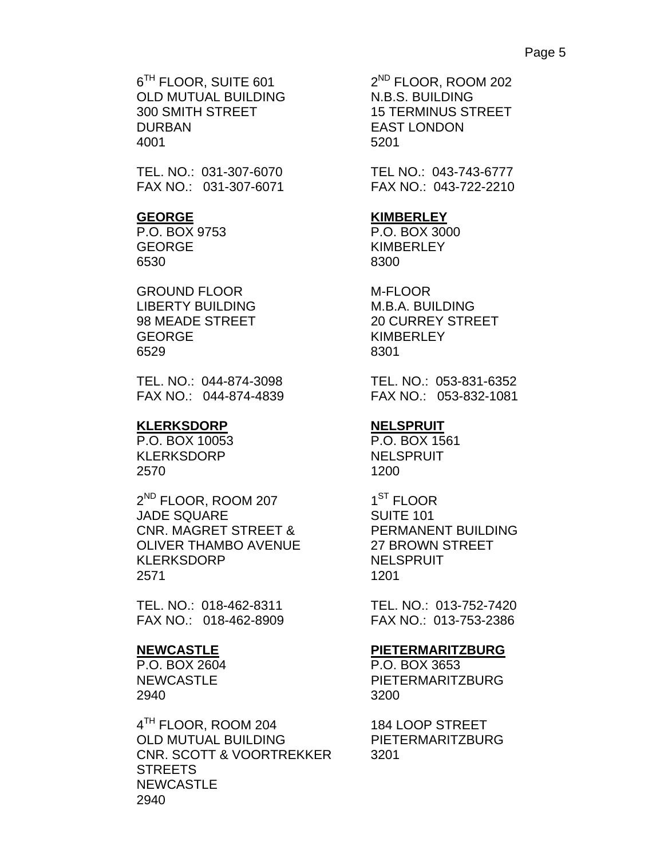$6^{TH}$  FLOOR, SUITE 601  $2^{ND}$  FLOOR, ROOM 202 OLD MUTUAL BUILDING N.B.S. BUILDING 300 SMITH STREET 15 TERMINUS STREET DURBAN EAST LONDON 4001 5201

TEL. NO.: 031-307-6070 TEL NO.: 043-743-6777 FAX NO.: 031-307-6071 FAX NO.: 043-722-2210

P.O. BOX 9753 P.O. BOX 3000 GEORGE KIMBERLEY 6530 8300

GROUND FLOOR M-FLOOR LIBERTY BUILDING M.B.A. BUILDING GEORGE KIMBERLEY 6529 8301

TEL. NO.: 044-874-3098 TEL. NO.: 053-831-6352

### KLERKSDORP NELSPRUIT

 P.O. BOX 10053 P.O. BOX 1561 KLERKSDORP NELSPRUIT 2570 1200

2<sup>ND</sup> FLOOR, ROOM 207 1<sup>ST</sup> FLOOR JADE SQUARE SUITE 101 CNR. MAGRET STREET & PERMANENT BUILDING OLIVER THAMBO AVENUE 27 BROWN STREET KLERKSDORP NELSPRUIT 2571 1201

TEL. NO.: 018-462-8311 TEL. NO.: 013-752-7420 FAX NO.: 018-462-8909 FAX NO.: 013-753-2386

P.O. BOX 2604 P.O. BOX 3653 2940 3200

4<sup>TH</sup> FLOOR, ROOM 204 184 LOOP STREET OLD MUTUAL BUILDING PIETERMARITZBURG CNR. SCOTT & VOORTREKKER 3201 **STREETS**  NEWCASTLE 2940

#### **GEORGE KIMBERLEY**

98 MEADE STREET 20 CURREY STREET

FAX NO.: 044-874-4839 FAX NO.: 053-832-1081

### **NEWCASTLE PIETERMARITZBURG**

NEWCASTLE PIETERMARITZBURG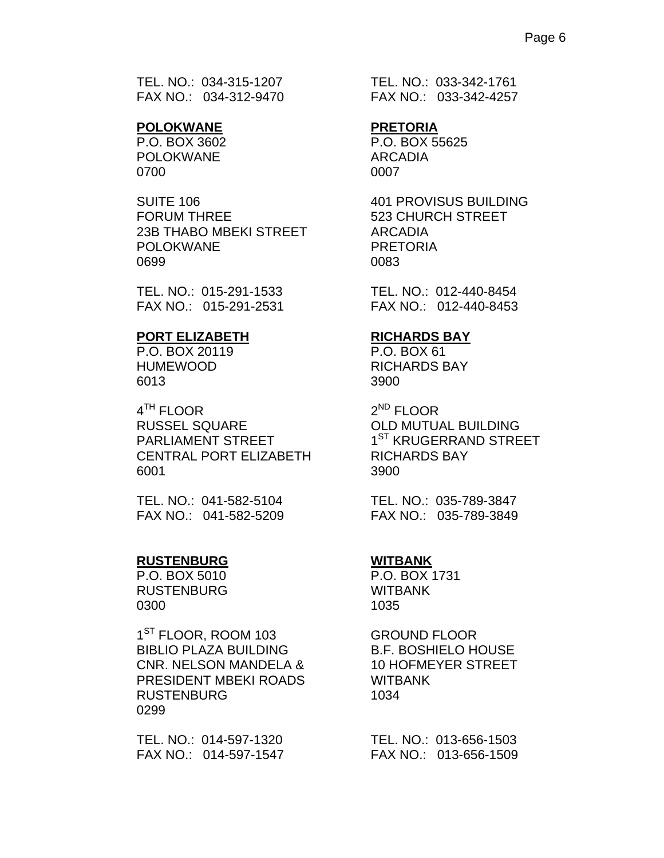TEL. NO.: 034-315-1207 TEL. NO.: 033-342-1761

## **POLOKWANE PRETORIA**

POLOKWANE ARCADIA 0700 0007

FORUM THREE 523 CHURCH STREET 23B THABO MBEKI STREET ARCADIA POLOKWANE PRETORIA 0699 0083

TEL. NO.: 015-291-1533 TEL. NO.: 012-440-8454

#### **PORT ELIZABETH RICHARDS BAY**

P.O. BOX 20119 P.O. BOX 61 6013 3900

4<sup>TH</sup> FLOOR 2<sup>ND</sup> FLOOR RUSSEL SQUARE **OLD MUTUAL BUILDING** PARLIAMENT STREET 1<sup>ST</sup> KRUGERRAND STREET CENTRAL PORT ELIZABETH RICHARDS BAY 6001 3900

 TEL. NO.: 041-582-5104 TEL. NO.: 035-789-3847 FAX NO.: 041-582-5209 FAX NO.: 035-789-3849

### **RUSTENBURG WITBANK**

P.O. BOX 5010 P.O. BOX 1731 RUSTENBURG WITBANK 0300 1035

> 1<sup>ST</sup> FLOOR, ROOM 103 **GROUND FLOOR** BIBLIO PLAZA BUILDING B.F. BOSHIELO HOUSE CNR. NELSON MANDELA & 10 HOFMEYER STREET PRESIDENT MBEKI ROADS WITBANK RUSTENBURG 1034 0299

FAX NO.: 034-312-9470 FAX NO.: 033-342-4257

P.O. BOX 3602 P.O. BOX 55625

SUITE 106 401 PROVISUS BUILDING

FAX NO.: 015-291-2531 FAX NO.: 012-440-8453

HUMEWOOD RICHARDS BAY

 TEL. NO.: 014-597-1320 TEL. NO.: 013-656-1503 FAX NO.: 014-597-1547 FAX NO.: 013-656-1509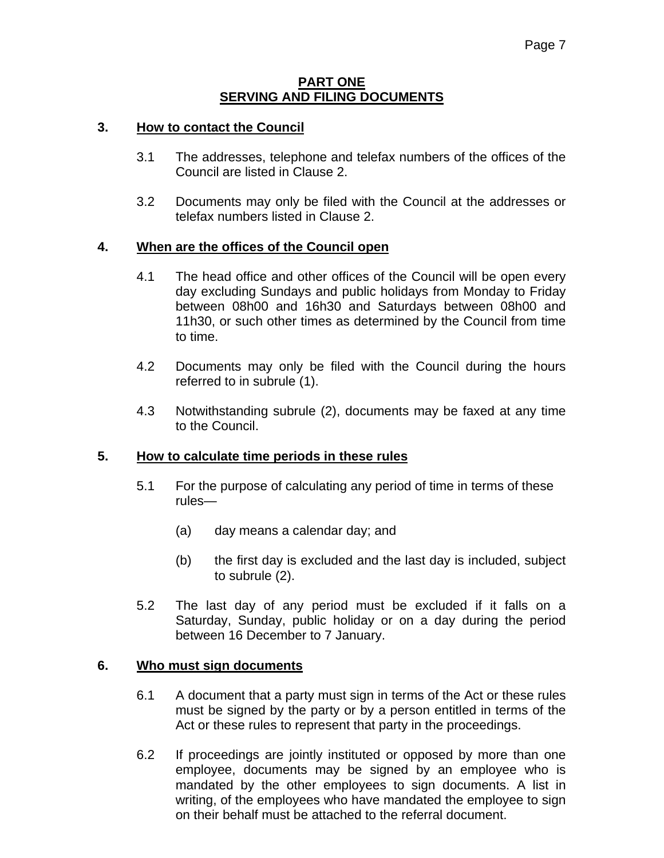### **PART ONE SERVING AND FILING DOCUMENTS**

## **3. How to contact the Council**

- 3.1 The addresses, telephone and telefax numbers of the offices of the Council are listed in Clause 2.
- 3.2 Documents may only be filed with the Council at the addresses or telefax numbers listed in Clause 2.

## **4. When are the offices of the Council open**

- 4.1 The head office and other offices of the Council will be open every day excluding Sundays and public holidays from Monday to Friday between 08h00 and 16h30 and Saturdays between 08h00 and 11h30, or such other times as determined by the Council from time to time.
- 4.2 Documents may only be filed with the Council during the hours referred to in subrule (1).
- 4.3 Notwithstanding subrule (2), documents may be faxed at any time to the Council.

## **5. How to calculate time periods in these rules**

- 5.1 For the purpose of calculating any period of time in terms of these rules—
	- (a) day means a calendar day; and
	- (b) the first day is excluded and the last day is included, subject to subrule (2).
- 5.2 The last day of any period must be excluded if it falls on a Saturday, Sunday, public holiday or on a day during the period between 16 December to 7 January.

### **6. Who must sign documents**

- 6.1 A document that a party must sign in terms of the Act or these rules must be signed by the party or by a person entitled in terms of the Act or these rules to represent that party in the proceedings.
- 6.2 If proceedings are jointly instituted or opposed by more than one employee, documents may be signed by an employee who is mandated by the other employees to sign documents. A list in writing, of the employees who have mandated the employee to sign on their behalf must be attached to the referral document.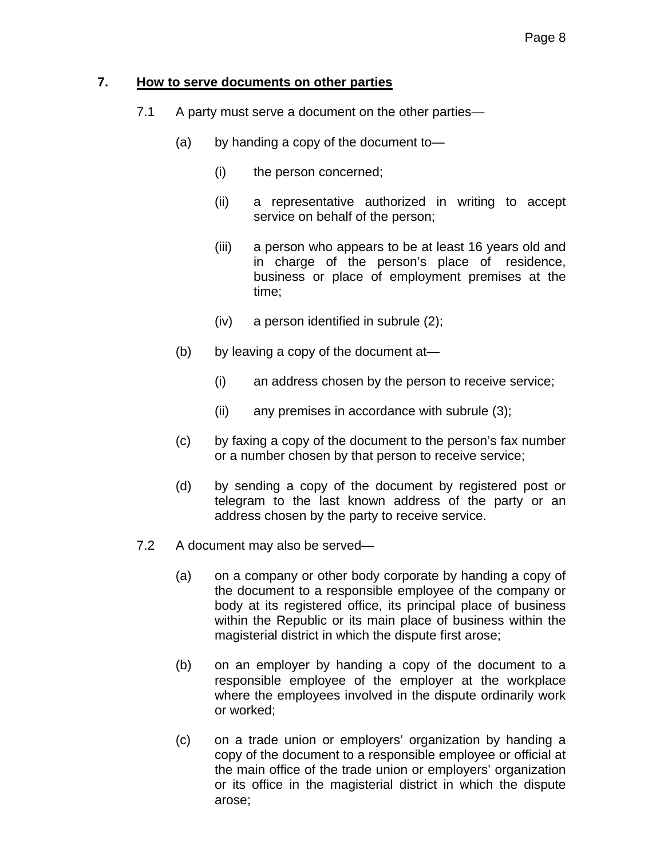## **7. How to serve documents on other parties**

- 7.1 A party must serve a document on the other parties—
	- (a) by handing a copy of the document to—
		- (i) the person concerned;
		- (ii) a representative authorized in writing to accept service on behalf of the person;
		- (iii) a person who appears to be at least 16 years old and in charge of the person's place of residence, business or place of employment premises at the time;
		- (iv) a person identified in subrule (2);
	- (b) by leaving a copy of the document at—
		- (i) an address chosen by the person to receive service;
		- (ii) any premises in accordance with subrule (3);
	- (c) by faxing a copy of the document to the person's fax number or a number chosen by that person to receive service;
	- (d) by sending a copy of the document by registered post or telegram to the last known address of the party or an address chosen by the party to receive service.
- 7.2 A document may also be served—
	- (a) on a company or other body corporate by handing a copy of the document to a responsible employee of the company or body at its registered office, its principal place of business within the Republic or its main place of business within the magisterial district in which the dispute first arose;
	- (b) on an employer by handing a copy of the document to a responsible employee of the employer at the workplace where the employees involved in the dispute ordinarily work or worked;
	- (c) on a trade union or employers' organization by handing a copy of the document to a responsible employee or official at the main office of the trade union or employers' organization or its office in the magisterial district in which the dispute arose;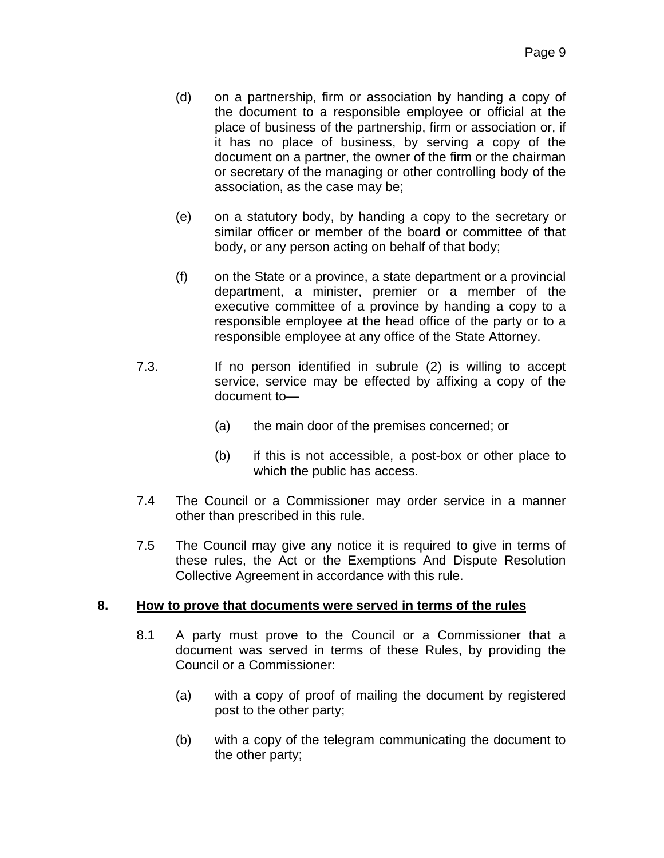- (d) on a partnership, firm or association by handing a copy of the document to a responsible employee or official at the place of business of the partnership, firm or association or, if it has no place of business, by serving a copy of the document on a partner, the owner of the firm or the chairman or secretary of the managing or other controlling body of the association, as the case may be;
- (e) on a statutory body, by handing a copy to the secretary or similar officer or member of the board or committee of that body, or any person acting on behalf of that body;
- (f) on the State or a province, a state department or a provincial department, a minister, premier or a member of the executive committee of a province by handing a copy to a responsible employee at the head office of the party or to a responsible employee at any office of the State Attorney.
- 7.3. If no person identified in subrule (2) is willing to accept service, service may be effected by affixing a copy of the document to—
	- (a) the main door of the premises concerned; or
	- (b) if this is not accessible, a post-box or other place to which the public has access.
- 7.4 The Council or a Commissioner may order service in a manner other than prescribed in this rule.
- 7.5 The Council may give any notice it is required to give in terms of these rules, the Act or the Exemptions And Dispute Resolution Collective Agreement in accordance with this rule.

## **8. How to prove that documents were served in terms of the rules**

- 8.1 A party must prove to the Council or a Commissioner that a document was served in terms of these Rules, by providing the Council or a Commissioner:
	- (a) with a copy of proof of mailing the document by registered post to the other party;
	- (b) with a copy of the telegram communicating the document to the other party;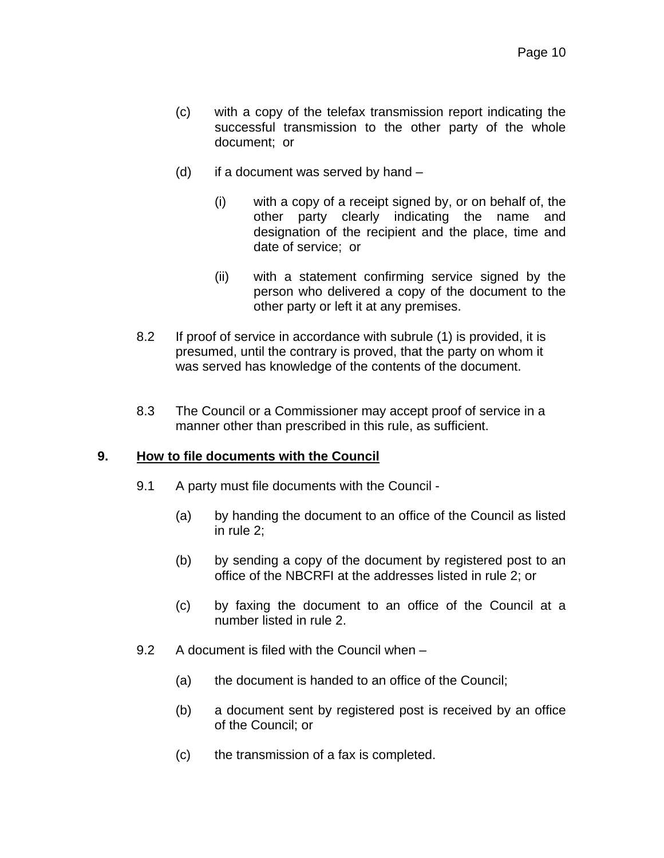- (c) with a copy of the telefax transmission report indicating the successful transmission to the other party of the whole document; or
- (d) if a document was served by hand  $-$ 
	- (i) with a copy of a receipt signed by, or on behalf of, the other party clearly indicating the name and designation of the recipient and the place, time and date of service; or
	- (ii) with a statement confirming service signed by the person who delivered a copy of the document to the other party or left it at any premises.
- 8.2 If proof of service in accordance with subrule (1) is provided, it is presumed, until the contrary is proved, that the party on whom it was served has knowledge of the contents of the document.
- 8.3 The Council or a Commissioner may accept proof of service in a manner other than prescribed in this rule, as sufficient.

## **9. How to file documents with the Council**

- 9.1 A party must file documents with the Council
	- (a) by handing the document to an office of the Council as listed in rule 2;
	- (b) by sending a copy of the document by registered post to an office of the NBCRFI at the addresses listed in rule 2; or
	- (c) by faxing the document to an office of the Council at a number listed in rule 2.
- 9.2 A document is filed with the Council when
	- (a) the document is handed to an office of the Council;
	- (b) a document sent by registered post is received by an office of the Council; or
	- (c) the transmission of a fax is completed.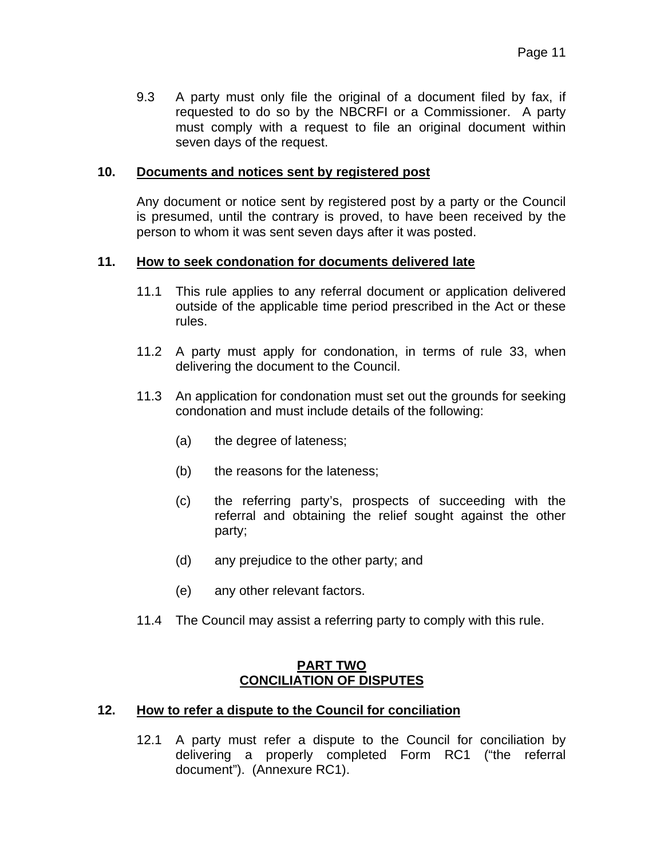9.3 A party must only file the original of a document filed by fax, if requested to do so by the NBCRFI or a Commissioner. A party must comply with a request to file an original document within seven days of the request.

## **10. Documents and notices sent by registered post**

Any document or notice sent by registered post by a party or the Council is presumed, until the contrary is proved, to have been received by the person to whom it was sent seven days after it was posted.

## **11. How to seek condonation for documents delivered late**

- 11.1 This rule applies to any referral document or application delivered outside of the applicable time period prescribed in the Act or these rules.
- 11.2 A party must apply for condonation, in terms of rule 33, when delivering the document to the Council.
- 11.3 An application for condonation must set out the grounds for seeking condonation and must include details of the following:
	- (a) the degree of lateness;
	- (b) the reasons for the lateness;
	- (c) the referring party's, prospects of succeeding with the referral and obtaining the relief sought against the other party;
	- (d) any prejudice to the other party; and
	- (e) any other relevant factors.
- 11.4 The Council may assist a referring party to comply with this rule.

## **PART TWO CONCILIATION OF DISPUTES**

## **12. How to refer a dispute to the Council for conciliation**

12.1 A party must refer a dispute to the Council for conciliation by delivering a properly completed Form RC1 ("the referral document"). (Annexure RC1).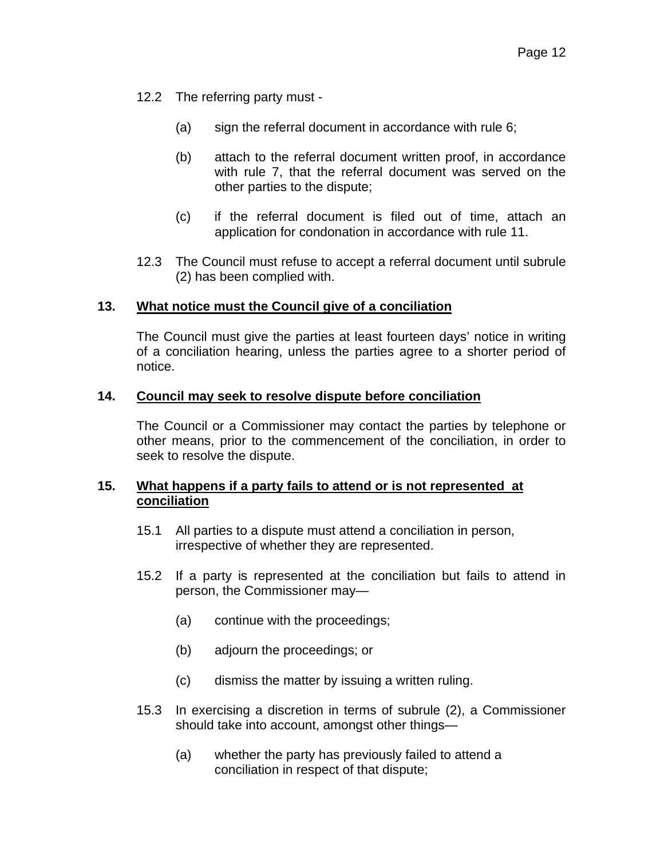- 12.2 The referring party must
	- (a) sign the referral document in accordance with rule 6;
	- (b) attach to the referral document written proof, in accordance with rule 7, that the referral document was served on the other parties to the dispute;
	- (c) if the referral document is filed out of time, attach an application for condonation in accordance with rule 11.
- 12.3 The Council must refuse to accept a referral document until subrule (2) has been complied with.

## **13. What notice must the Council give of a conciliation**

The Council must give the parties at least fourteen days' notice in writing of a conciliation hearing, unless the parties agree to a shorter period of notice.

### **14. Council may seek to resolve dispute before conciliation**

The Council or a Commissioner may contact the parties by telephone or other means, prior to the commencement of the conciliation, in order to seek to resolve the dispute.

## **15. What happens if a party fails to attend or is not represented at conciliation**

- 15.1 All parties to a dispute must attend a conciliation in person, irrespective of whether they are represented.
- 15.2 If a party is represented at the conciliation but fails to attend in person, the Commissioner may—
	- (a) continue with the proceedings;
	- (b) adjourn the proceedings; or
	- (c) dismiss the matter by issuing a written ruling.
- 15.3 In exercising a discretion in terms of subrule (2), a Commissioner should take into account, amongst other things—
	- (a) whether the party has previously failed to attend a conciliation in respect of that dispute;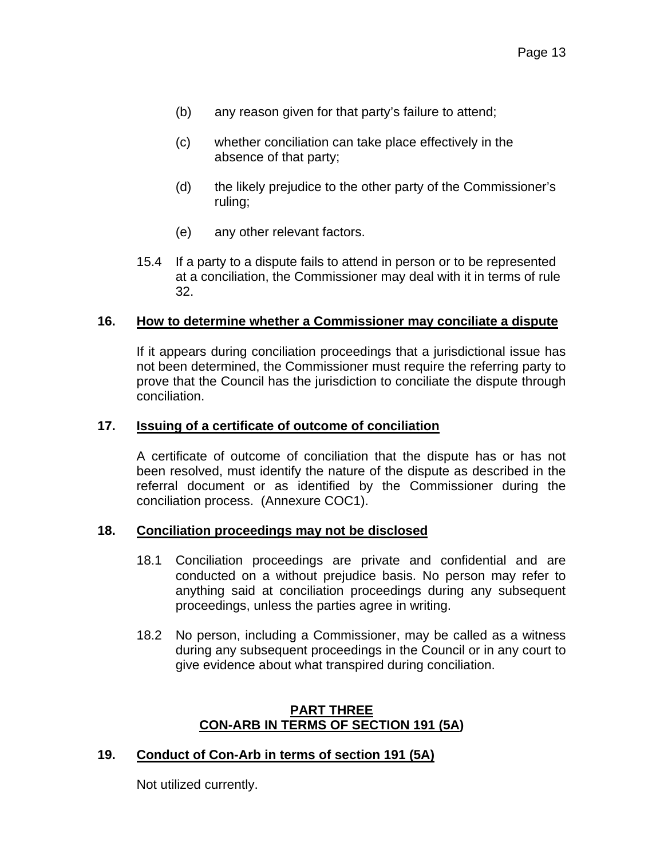- (b) any reason given for that party's failure to attend;
- (c) whether conciliation can take place effectively in the absence of that party;
- (d) the likely prejudice to the other party of the Commissioner's ruling;
- (e) any other relevant factors.
- 15.4 If a party to a dispute fails to attend in person or to be represented at a conciliation, the Commissioner may deal with it in terms of rule 32.

### **16. How to determine whether a Commissioner may conciliate a dispute**

If it appears during conciliation proceedings that a jurisdictional issue has not been determined, the Commissioner must require the referring party to prove that the Council has the jurisdiction to conciliate the dispute through conciliation.

#### **17. Issuing of a certificate of outcome of conciliation**

A certificate of outcome of conciliation that the dispute has or has not been resolved, must identify the nature of the dispute as described in the referral document or as identified by the Commissioner during the conciliation process. (Annexure COC1).

#### **18. Conciliation proceedings may not be disclosed**

- 18.1 Conciliation proceedings are private and confidential and are conducted on a without prejudice basis. No person may refer to anything said at conciliation proceedings during any subsequent proceedings, unless the parties agree in writing.
- 18.2 No person, including a Commissioner, may be called as a witness during any subsequent proceedings in the Council or in any court to give evidence about what transpired during conciliation.

### **PART THREE CON-ARB IN TERMS OF SECTION 191 (5A)**

### **19. Conduct of Con-Arb in terms of section 191 (5A)**

Not utilized currently.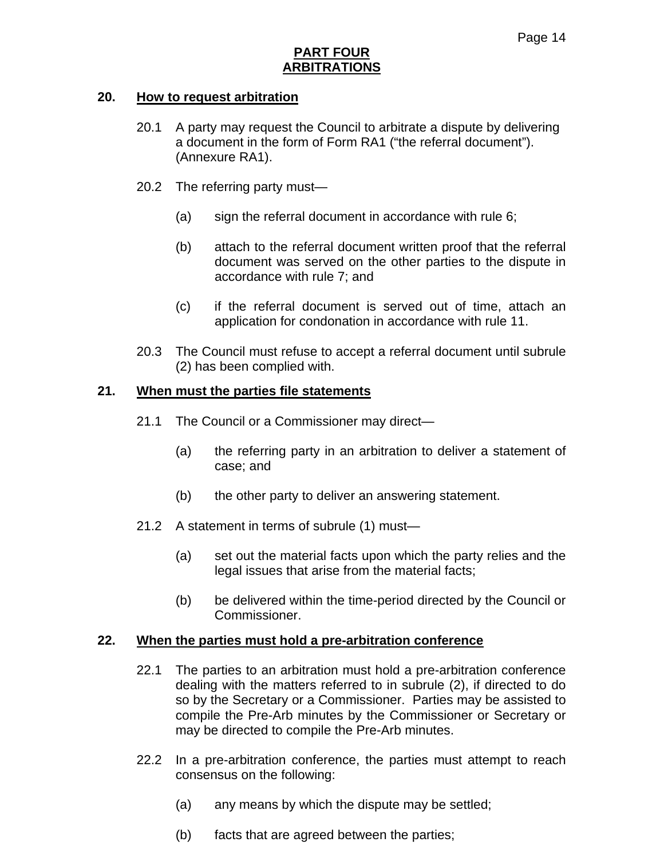## **PART FOUR ARBITRATIONS**

### **20. How to request arbitration**

- 20.1 A party may request the Council to arbitrate a dispute by delivering a document in the form of Form RA1 ("the referral document"). (Annexure RA1).
- 20.2 The referring party must—
	- (a) sign the referral document in accordance with rule 6;
	- (b) attach to the referral document written proof that the referral document was served on the other parties to the dispute in accordance with rule 7; and
	- (c) if the referral document is served out of time, attach an application for condonation in accordance with rule 11.
- 20.3 The Council must refuse to accept a referral document until subrule (2) has been complied with.

### **21. When must the parties file statements**

- 21.1 The Council or a Commissioner may direct—
	- (a) the referring party in an arbitration to deliver a statement of case; and
	- (b) the other party to deliver an answering statement.
- 21.2 A statement in terms of subrule (1) must—
	- (a) set out the material facts upon which the party relies and the legal issues that arise from the material facts;
	- (b) be delivered within the time-period directed by the Council or Commissioner.

### **22. When the parties must hold a pre-arbitration conference**

- 22.1 The parties to an arbitration must hold a pre-arbitration conference dealing with the matters referred to in subrule (2), if directed to do so by the Secretary or a Commissioner. Parties may be assisted to compile the Pre-Arb minutes by the Commissioner or Secretary or may be directed to compile the Pre-Arb minutes.
- 22.2 In a pre-arbitration conference, the parties must attempt to reach consensus on the following:
	- (a) any means by which the dispute may be settled;
	- (b) facts that are agreed between the parties;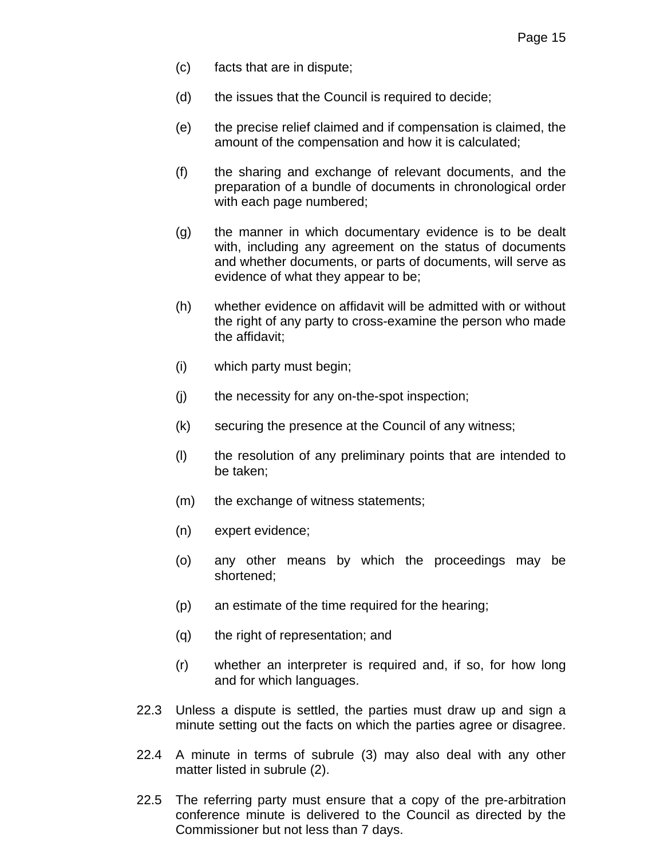- (c) facts that are in dispute;
- (d) the issues that the Council is required to decide;
- (e) the precise relief claimed and if compensation is claimed, the amount of the compensation and how it is calculated;
- (f) the sharing and exchange of relevant documents, and the preparation of a bundle of documents in chronological order with each page numbered;
- (g) the manner in which documentary evidence is to be dealt with, including any agreement on the status of documents and whether documents, or parts of documents, will serve as evidence of what they appear to be;
- (h) whether evidence on affidavit will be admitted with or without the right of any party to cross-examine the person who made the affidavit;
- (i) which party must begin;
- (j) the necessity for any on-the-spot inspection;
- (k) securing the presence at the Council of any witness;
- (l) the resolution of any preliminary points that are intended to be taken;
- (m) the exchange of witness statements;
- (n) expert evidence;
- (o) any other means by which the proceedings may be shortened;
- (p) an estimate of the time required for the hearing;
- (q) the right of representation; and
- (r) whether an interpreter is required and, if so, for how long and for which languages.
- 22.3 Unless a dispute is settled, the parties must draw up and sign a minute setting out the facts on which the parties agree or disagree.
- 22.4 A minute in terms of subrule (3) may also deal with any other matter listed in subrule (2).
- 22.5 The referring party must ensure that a copy of the pre-arbitration conference minute is delivered to the Council as directed by the Commissioner but not less than 7 days.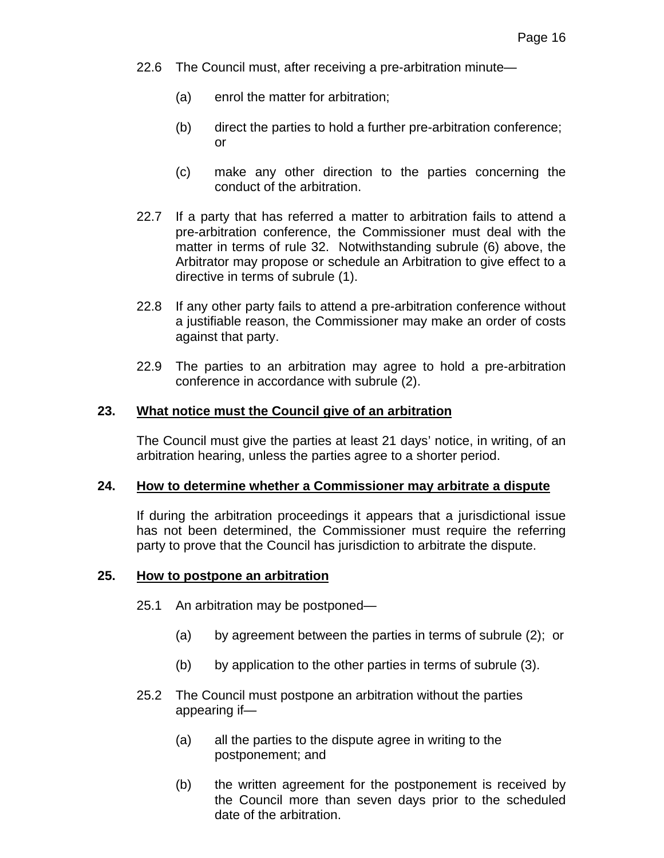- 22.6 The Council must, after receiving a pre-arbitration minute—
	- (a) enrol the matter for arbitration;
	- (b) direct the parties to hold a further pre-arbitration conference; or
	- (c) make any other direction to the parties concerning the conduct of the arbitration.
- 22.7 If a party that has referred a matter to arbitration fails to attend a pre-arbitration conference, the Commissioner must deal with the matter in terms of rule 32. Notwithstanding subrule (6) above, the Arbitrator may propose or schedule an Arbitration to give effect to a directive in terms of subrule (1).
- 22.8 If any other party fails to attend a pre-arbitration conference without a justifiable reason, the Commissioner may make an order of costs against that party.
- 22.9 The parties to an arbitration may agree to hold a pre-arbitration conference in accordance with subrule (2).

### **23. What notice must the Council give of an arbitration**

The Council must give the parties at least 21 days' notice, in writing, of an arbitration hearing, unless the parties agree to a shorter period.

#### **24. How to determine whether a Commissioner may arbitrate a dispute**

If during the arbitration proceedings it appears that a jurisdictional issue has not been determined, the Commissioner must require the referring party to prove that the Council has jurisdiction to arbitrate the dispute.

### **25. How to postpone an arbitration**

- 25.1 An arbitration may be postponed—
	- (a) by agreement between the parties in terms of subrule (2); or
	- (b) by application to the other parties in terms of subrule (3).
- 25.2 The Council must postpone an arbitration without the parties appearing if—
	- (a) all the parties to the dispute agree in writing to the postponement; and
	- (b) the written agreement for the postponement is received by the Council more than seven days prior to the scheduled date of the arbitration.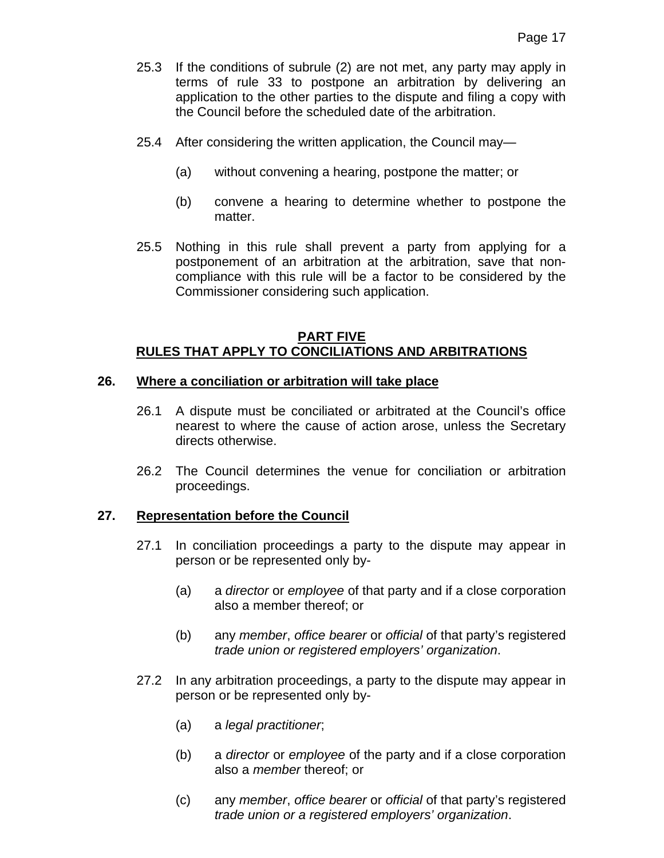- 25.3 If the conditions of subrule (2) are not met, any party may apply in terms of rule 33 to postpone an arbitration by delivering an application to the other parties to the dispute and filing a copy with the Council before the scheduled date of the arbitration.
- 25.4 After considering the written application, the Council may—
	- (a) without convening a hearing, postpone the matter; or
	- (b) convene a hearing to determine whether to postpone the matter.
- 25.5 Nothing in this rule shall prevent a party from applying for a postponement of an arbitration at the arbitration, save that noncompliance with this rule will be a factor to be considered by the Commissioner considering such application.

## **PART FIVE RULES THAT APPLY TO CONCILIATIONS AND ARBITRATIONS**

### **26. Where a conciliation or arbitration will take place**

- 26.1 A dispute must be conciliated or arbitrated at the Council's office nearest to where the cause of action arose, unless the Secretary directs otherwise.
- 26.2 The Council determines the venue for conciliation or arbitration proceedings.

### **27. Representation before the Council**

- 27.1 In conciliation proceedings a party to the dispute may appear in person or be represented only by-
	- (a) a *director* or *employee* of that party and if a close corporation also a member thereof; or
	- (b) any *member*, *office bearer* or *official* of that party's registered *trade union or registered employers' organization*.
- 27.2 In any arbitration proceedings, a party to the dispute may appear in person or be represented only by-
	- (a) a *legal practitioner*;
	- (b) a *director* or *employee* of the party and if a close corporation also a *member* thereof; or
	- (c) any *member*, *office bearer* or *official* of that party's registered *trade union or a registered employers' organization*.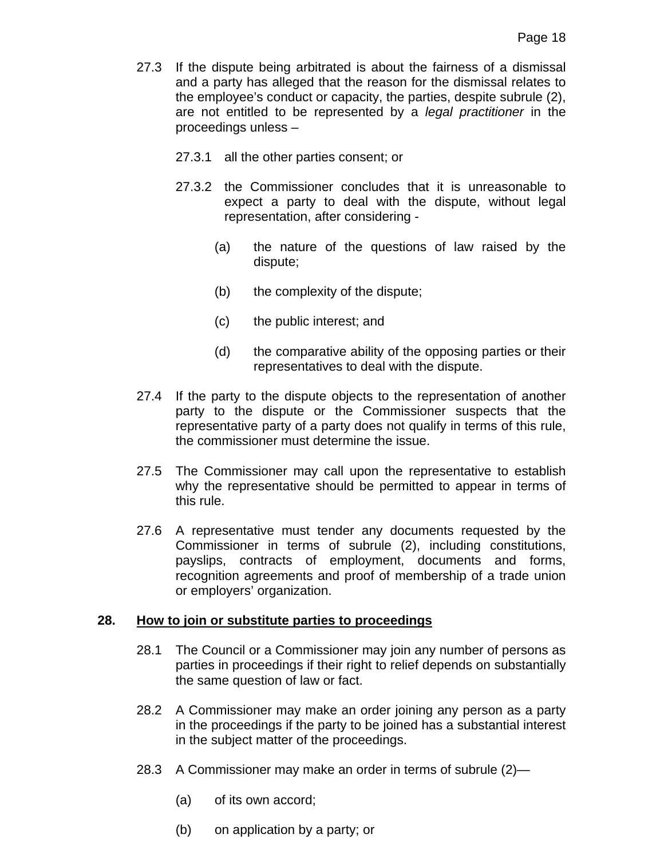- 27.3 If the dispute being arbitrated is about the fairness of a dismissal and a party has alleged that the reason for the dismissal relates to the employee's conduct or capacity, the parties, despite subrule (2), are not entitled to be represented by a *legal practitioner* in the proceedings unless –
	- 27.3.1 all the other parties consent; or
	- 27.3.2 the Commissioner concludes that it is unreasonable to expect a party to deal with the dispute, without legal representation, after considering -
		- (a) the nature of the questions of law raised by the dispute;
		- (b) the complexity of the dispute;
		- (c) the public interest; and
		- (d) the comparative ability of the opposing parties or their representatives to deal with the dispute.
- 27.4 If the party to the dispute objects to the representation of another party to the dispute or the Commissioner suspects that the representative party of a party does not qualify in terms of this rule, the commissioner must determine the issue.
- 27.5 The Commissioner may call upon the representative to establish why the representative should be permitted to appear in terms of this rule.
- 27.6 A representative must tender any documents requested by the Commissioner in terms of subrule (2), including constitutions, payslips, contracts of employment, documents and forms, recognition agreements and proof of membership of a trade union or employers' organization.

## **28. How to join or substitute parties to proceedings**

- 28.1 The Council or a Commissioner may join any number of persons as parties in proceedings if their right to relief depends on substantially the same question of law or fact.
- 28.2 A Commissioner may make an order joining any person as a party in the proceedings if the party to be joined has a substantial interest in the subject matter of the proceedings.
- 28.3 A Commissioner may make an order in terms of subrule (2)—
	- (a) of its own accord;
	- (b) on application by a party; or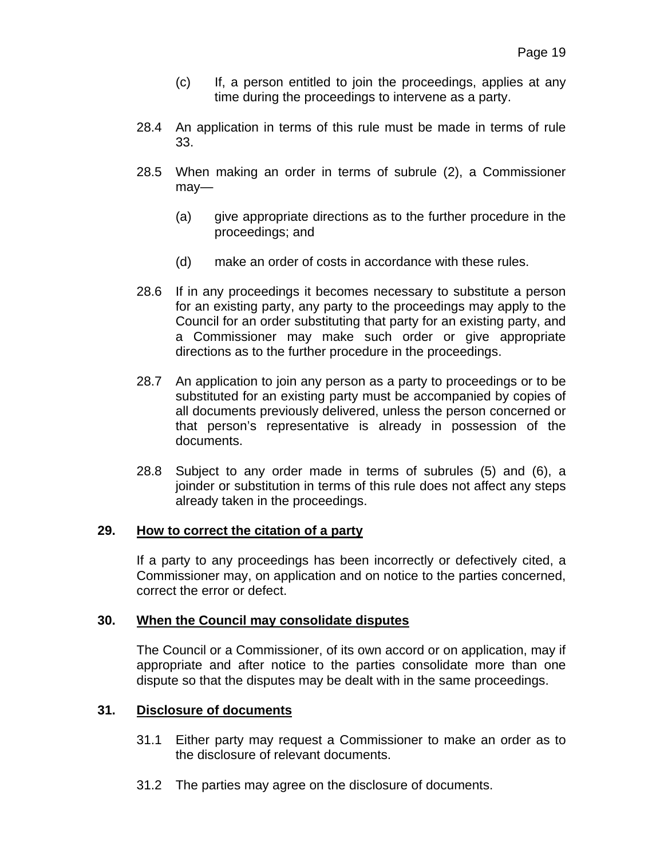- (c) If, a person entitled to join the proceedings, applies at any time during the proceedings to intervene as a party.
- 28.4 An application in terms of this rule must be made in terms of rule 33.
- 28.5 When making an order in terms of subrule (2), a Commissioner may—
	- (a) give appropriate directions as to the further procedure in the proceedings; and
	- (d) make an order of costs in accordance with these rules.
- 28.6 If in any proceedings it becomes necessary to substitute a person for an existing party, any party to the proceedings may apply to the Council for an order substituting that party for an existing party, and a Commissioner may make such order or give appropriate directions as to the further procedure in the proceedings.
- 28.7 An application to join any person as a party to proceedings or to be substituted for an existing party must be accompanied by copies of all documents previously delivered, unless the person concerned or that person's representative is already in possession of the documents.
- 28.8 Subject to any order made in terms of subrules (5) and (6), a joinder or substitution in terms of this rule does not affect any steps already taken in the proceedings.

### **29. How to correct the citation of a party**

If a party to any proceedings has been incorrectly or defectively cited, a Commissioner may, on application and on notice to the parties concerned, correct the error or defect.

### **30. When the Council may consolidate disputes**

The Council or a Commissioner, of its own accord or on application, may if appropriate and after notice to the parties consolidate more than one dispute so that the disputes may be dealt with in the same proceedings.

## **31. Disclosure of documents**

- 31.1 Either party may request a Commissioner to make an order as to the disclosure of relevant documents.
- 31.2 The parties may agree on the disclosure of documents.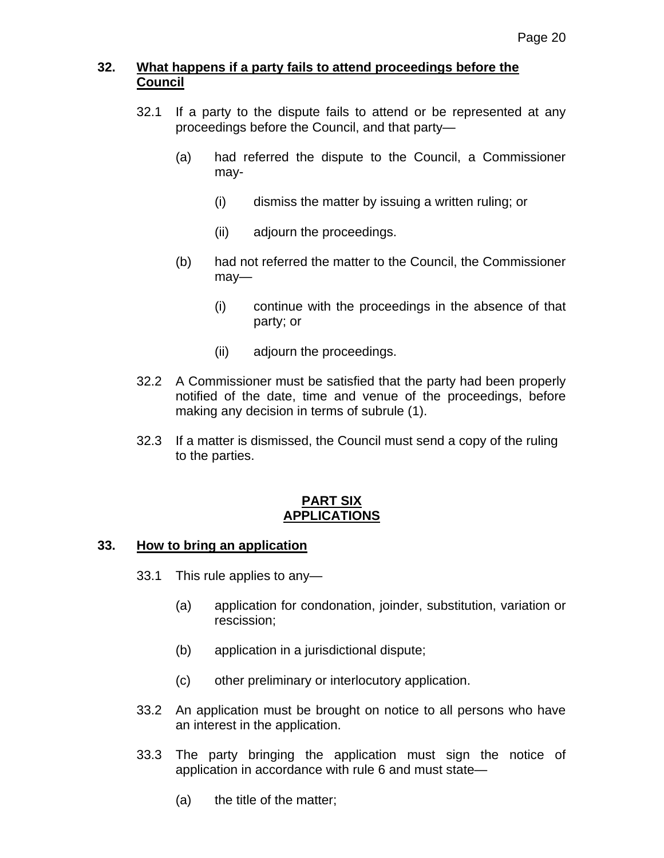# **32. What happens if a party fails to attend proceedings before the Council**

- 32.1 If a party to the dispute fails to attend or be represented at any proceedings before the Council, and that party—
	- (a) had referred the dispute to the Council, a Commissioner may-
		- (i) dismiss the matter by issuing a written ruling; or
		- (ii) adjourn the proceedings.
	- (b) had not referred the matter to the Council, the Commissioner may—
		- (i) continue with the proceedings in the absence of that party; or
		- (ii) adjourn the proceedings.
- 32.2 A Commissioner must be satisfied that the party had been properly notified of the date, time and venue of the proceedings, before making any decision in terms of subrule (1).
- 32.3 If a matter is dismissed, the Council must send a copy of the ruling to the parties.

## **PART SIX APPLICATIONS**

## **33. How to bring an application**

- 33.1 This rule applies to any—
	- (a) application for condonation, joinder, substitution, variation or rescission;
	- (b) application in a jurisdictional dispute;
	- (c) other preliminary or interlocutory application.
- 33.2 An application must be brought on notice to all persons who have an interest in the application.
- 33.3 The party bringing the application must sign the notice of application in accordance with rule 6 and must state—
	- (a) the title of the matter;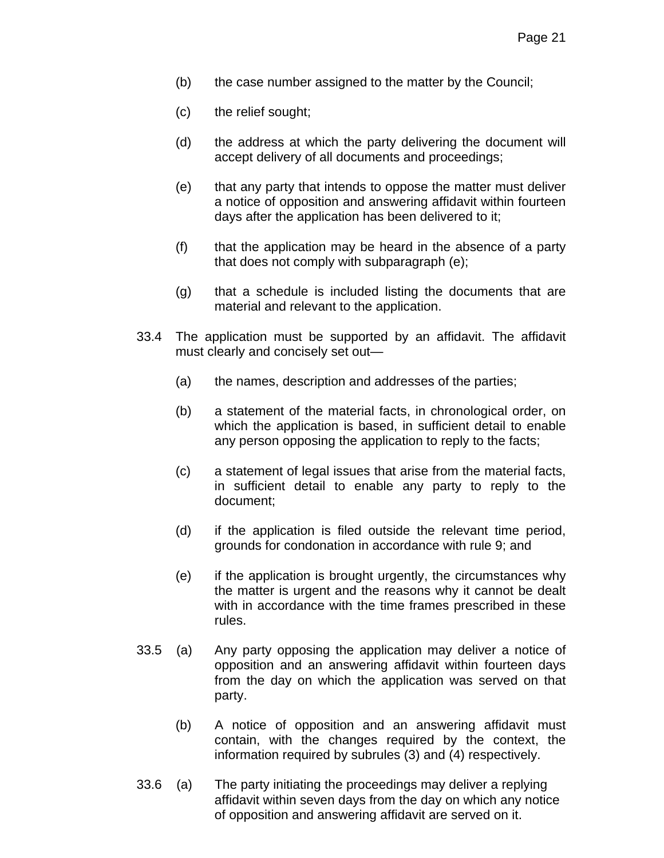- (b) the case number assigned to the matter by the Council;
- (c) the relief sought;
- (d) the address at which the party delivering the document will accept delivery of all documents and proceedings;
- (e) that any party that intends to oppose the matter must deliver a notice of opposition and answering affidavit within fourteen days after the application has been delivered to it;
- (f) that the application may be heard in the absence of a party that does not comply with subparagraph (e);
- (g) that a schedule is included listing the documents that are material and relevant to the application.
- 33.4 The application must be supported by an affidavit. The affidavit must clearly and concisely set out—
	- (a) the names, description and addresses of the parties;
	- (b) a statement of the material facts, in chronological order, on which the application is based, in sufficient detail to enable any person opposing the application to reply to the facts;
	- (c) a statement of legal issues that arise from the material facts, in sufficient detail to enable any party to reply to the document;
	- (d) if the application is filed outside the relevant time period, grounds for condonation in accordance with rule 9; and
	- (e) if the application is brought urgently, the circumstances why the matter is urgent and the reasons why it cannot be dealt with in accordance with the time frames prescribed in these rules.
- 33.5 (a) Any party opposing the application may deliver a notice of opposition and an answering affidavit within fourteen days from the day on which the application was served on that party.
	- (b) A notice of opposition and an answering affidavit must contain, with the changes required by the context, the information required by subrules (3) and (4) respectively.
- 33.6 (a) The party initiating the proceedings may deliver a replying affidavit within seven days from the day on which any notice of opposition and answering affidavit are served on it.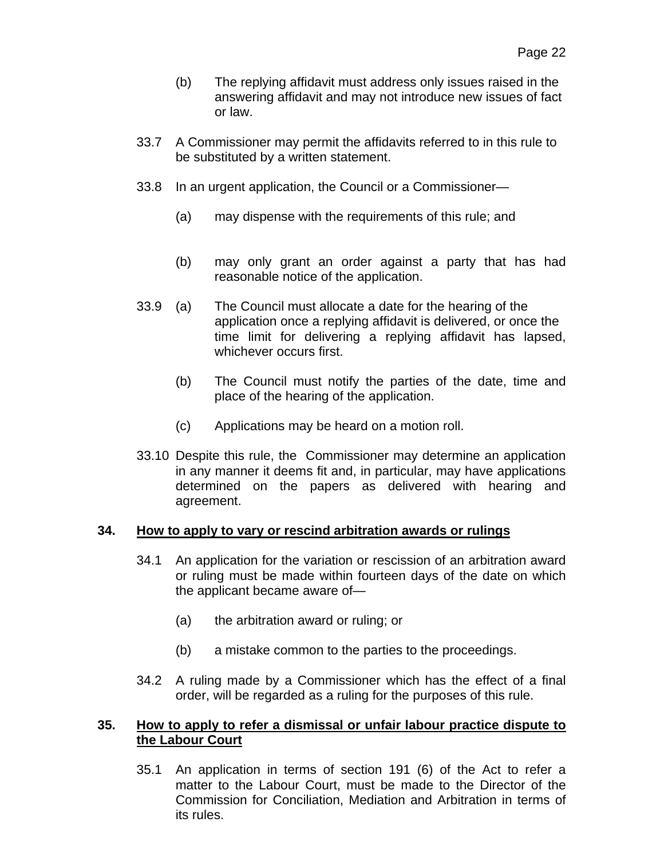- (b) The replying affidavit must address only issues raised in the answering affidavit and may not introduce new issues of fact or law.
- 33.7 A Commissioner may permit the affidavits referred to in this rule to be substituted by a written statement.
- 33.8 In an urgent application, the Council or a Commissioner—
	- (a) may dispense with the requirements of this rule; and
	- (b) may only grant an order against a party that has had reasonable notice of the application.
- 33.9 (a) The Council must allocate a date for the hearing of the application once a replying affidavit is delivered, or once the time limit for delivering a replying affidavit has lapsed, whichever occurs first.
	- (b) The Council must notify the parties of the date, time and place of the hearing of the application.
	- (c) Applications may be heard on a motion roll.
- 33.10 Despite this rule, the Commissioner may determine an application in any manner it deems fit and, in particular, may have applications determined on the papers as delivered with hearing and agreement.

### **34. How to apply to vary or rescind arbitration awards or rulings**

- 34.1 An application for the variation or rescission of an arbitration award or ruling must be made within fourteen days of the date on which the applicant became aware of—
	- (a) the arbitration award or ruling; or
	- (b) a mistake common to the parties to the proceedings.
- 34.2 A ruling made by a Commissioner which has the effect of a final order, will be regarded as a ruling for the purposes of this rule.

## **35. How to apply to refer a dismissal or unfair labour practice dispute to the Labour Court**

35.1 An application in terms of section 191 (6) of the Act to refer a matter to the Labour Court, must be made to the Director of the Commission for Conciliation, Mediation and Arbitration in terms of its rules.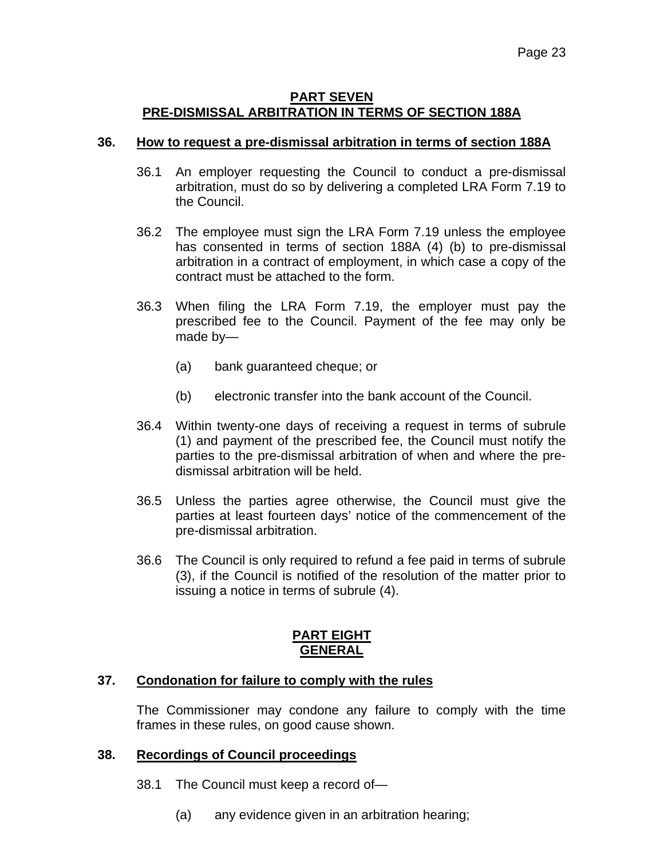### **PART SEVEN PRE-DISMISSAL ARBITRATION IN TERMS OF SECTION 188A**

## **36. How to request a pre-dismissal arbitration in terms of section 188A**

- 36.1 An employer requesting the Council to conduct a pre-dismissal arbitration, must do so by delivering a completed LRA Form 7.19 to the Council.
- 36.2 The employee must sign the LRA Form 7.19 unless the employee has consented in terms of section 188A (4) (b) to pre-dismissal arbitration in a contract of employment, in which case a copy of the contract must be attached to the form.
- 36.3 When filing the LRA Form 7.19, the employer must pay the prescribed fee to the Council. Payment of the fee may only be made by—
	- (a) bank guaranteed cheque; or
	- (b) electronic transfer into the bank account of the Council.
- 36.4 Within twenty-one days of receiving a request in terms of subrule (1) and payment of the prescribed fee, the Council must notify the parties to the pre-dismissal arbitration of when and where the predismissal arbitration will be held.
- 36.5 Unless the parties agree otherwise, the Council must give the parties at least fourteen days' notice of the commencement of the pre-dismissal arbitration.
- 36.6 The Council is only required to refund a fee paid in terms of subrule (3), if the Council is notified of the resolution of the matter prior to issuing a notice in terms of subrule (4).

## **PART EIGHT GENERAL**

### **37. Condonation for failure to comply with the rules**

The Commissioner may condone any failure to comply with the time frames in these rules, on good cause shown.

### **38. Recordings of Council proceedings**

- 38.1 The Council must keep a record of—
	- (a) any evidence given in an arbitration hearing;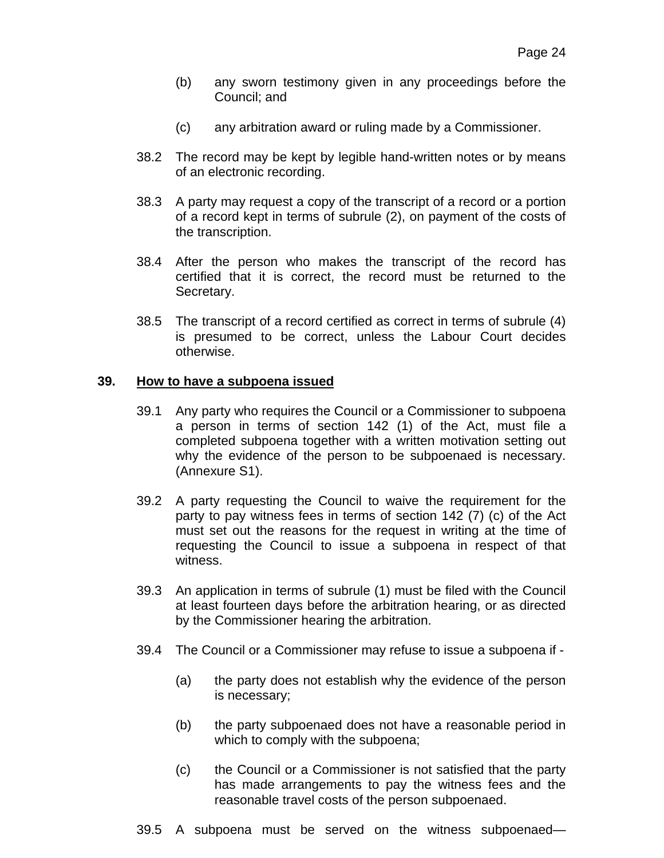- (b) any sworn testimony given in any proceedings before the Council; and
- (c) any arbitration award or ruling made by a Commissioner.
- 38.2 The record may be kept by legible hand-written notes or by means of an electronic recording.
- 38.3 A party may request a copy of the transcript of a record or a portion of a record kept in terms of subrule (2), on payment of the costs of the transcription.
- 38.4 After the person who makes the transcript of the record has certified that it is correct, the record must be returned to the Secretary.
- 38.5 The transcript of a record certified as correct in terms of subrule (4) is presumed to be correct, unless the Labour Court decides otherwise.

### **39. How to have a subpoena issued**

- 39.1 Any party who requires the Council or a Commissioner to subpoena a person in terms of section 142 (1) of the Act, must file a completed subpoena together with a written motivation setting out why the evidence of the person to be subpoenaed is necessary. (Annexure S1).
- 39.2 A party requesting the Council to waive the requirement for the party to pay witness fees in terms of section 142 (7) (c) of the Act must set out the reasons for the request in writing at the time of requesting the Council to issue a subpoena in respect of that witness.
- 39.3 An application in terms of subrule (1) must be filed with the Council at least fourteen days before the arbitration hearing, or as directed by the Commissioner hearing the arbitration.
- 39.4 The Council or a Commissioner may refuse to issue a subpoena if
	- (a) the party does not establish why the evidence of the person is necessary;
	- (b) the party subpoenaed does not have a reasonable period in which to comply with the subpoena;
	- (c) the Council or a Commissioner is not satisfied that the party has made arrangements to pay the witness fees and the reasonable travel costs of the person subpoenaed.
- 39.5 A subpoena must be served on the witness subpoenaed—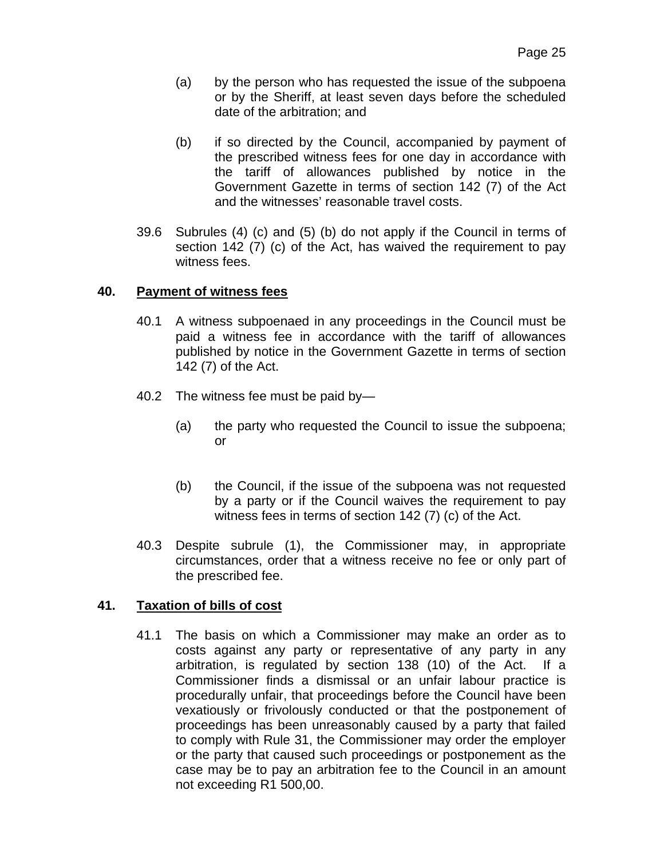- (a) by the person who has requested the issue of the subpoena or by the Sheriff, at least seven days before the scheduled date of the arbitration; and
- (b) if so directed by the Council, accompanied by payment of the prescribed witness fees for one day in accordance with the tariff of allowances published by notice in the Government Gazette in terms of section 142 (7) of the Act and the witnesses' reasonable travel costs.
- 39.6 Subrules (4) (c) and (5) (b) do not apply if the Council in terms of section 142 (7) (c) of the Act, has waived the requirement to pay witness fees.

## **40. Payment of witness fees**

- 40.1 A witness subpoenaed in any proceedings in the Council must be paid a witness fee in accordance with the tariff of allowances published by notice in the Government Gazette in terms of section 142 (7) of the Act.
- 40.2 The witness fee must be paid by—
	- (a) the party who requested the Council to issue the subpoena; or
	- (b) the Council, if the issue of the subpoena was not requested by a party or if the Council waives the requirement to pay witness fees in terms of section 142 (7) (c) of the Act.
- 40.3 Despite subrule (1), the Commissioner may, in appropriate circumstances, order that a witness receive no fee or only part of the prescribed fee.

## **41. Taxation of bills of cost**

41.1 The basis on which a Commissioner may make an order as to costs against any party or representative of any party in any arbitration, is regulated by section 138 (10) of the Act. If a Commissioner finds a dismissal or an unfair labour practice is procedurally unfair, that proceedings before the Council have been vexatiously or frivolously conducted or that the postponement of proceedings has been unreasonably caused by a party that failed to comply with Rule 31, the Commissioner may order the employer or the party that caused such proceedings or postponement as the case may be to pay an arbitration fee to the Council in an amount not exceeding R1 500,00.